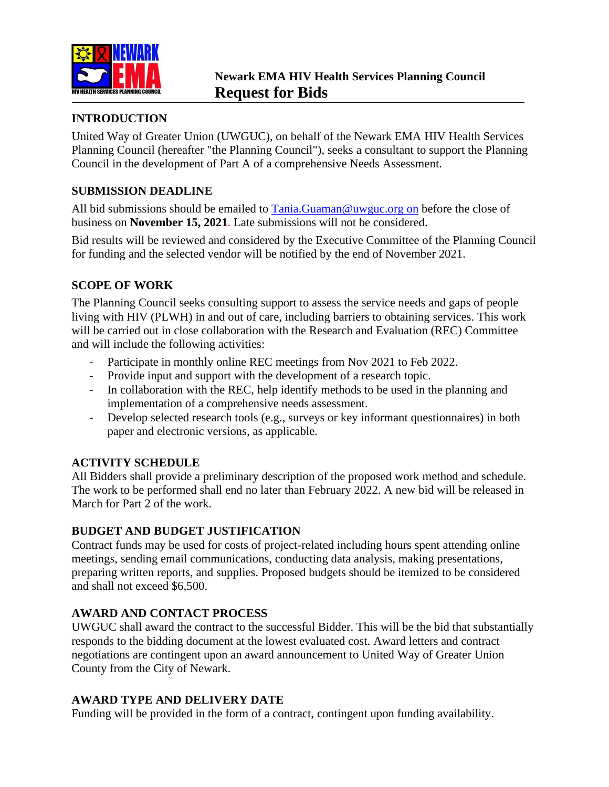

## **INTRODUCTION**

United Way of Greater Union (UWGUC), on behalf of the Newark EMA HIV Health Services Planning Council (hereafter "the Planning Council"), seeks a consultant to support the Planning Council in the development of Part A of a comprehensive Needs Assessment.

# **SUBMISSION DEADLINE**

All bid submissions should be emailed to [Tania.Guaman@uwguc.org](mailto:Tania.Guaman@uwguc.org) on before the close of business on **November 15, 2021**. Late submissions will not be considered.

Bid results will be reviewed and considered by the Executive Committee of the Planning Council for funding and the selected vendor will be notified by the end of November 2021.

## **SCOPE OF WORK**

The Planning Council seeks consulting support to assess the service needs and gaps of people living with HIV (PLWH) in and out of care, including barriers to obtaining services. This work will be carried out in close collaboration with the Research and Evaluation (REC) Committee and will include the following activities:

- Participate in monthly online REC meetings from Nov 2021 to Feb 2022.
- Provide input and support with the development of a research topic.
- In collaboration with the REC, help identify methods to be used in the planning and implementation of a comprehensive needs assessment.
- Develop selected research tools (e.g., surveys or key informant questionnaires) in both paper and electronic versions, as applicable.

### **ACTIVITY SCHEDULE**

[All Bidders shall provide a preliminary description of the proposed work method](https://targethiv.org/sites/default/files/supporting-files/module7-QRH_7.2.pdf) and schedule. The work to be performed shall end no later than February 2022. A new bid will be released in March for Part 2 of the work.

### **BUDGET AND BUDGET JUSTIFICATION**

Contract funds may be used for costs of project-related including hours spent attending online meetings, sending email communications, conducting data analysis, making presentations, preparing written reports, and supplies. Proposed budgets should be itemized to be considered and shall not exceed \$6,500.

### **AWARD AND CONTACT PROCESS**

UWGUC shall award the contract to the successful Bidder. This will be the bid that substantially responds to the bidding document at the lowest evaluated cost. Award letters and contract negotiations are contingent upon an award announcement to United Way of Greater Union County from the City of Newark.

### **AWARD TYPE AND DELIVERY DATE**

Funding will be provided in the form of a contract, contingent upon funding availability.